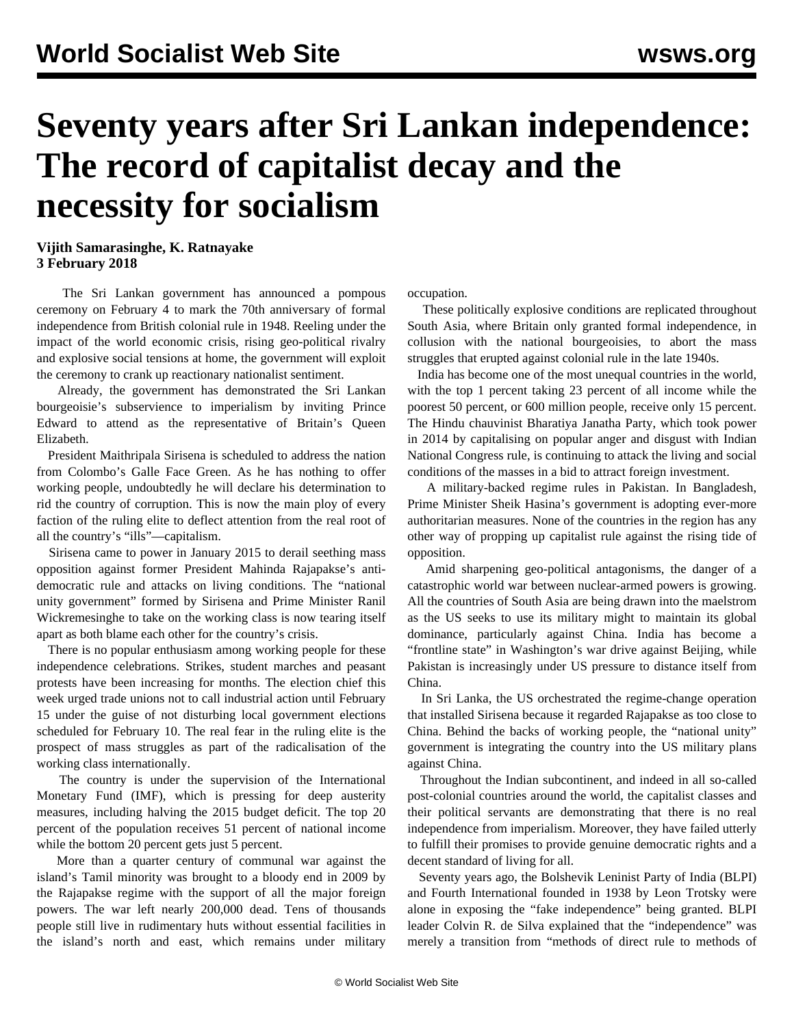## **Seventy years after Sri Lankan independence: The record of capitalist decay and the necessity for socialism**

## **Vijith Samarasinghe, K. Ratnayake 3 February 2018**

 The Sri Lankan government has announced a pompous ceremony on February 4 to mark the 70th anniversary of formal independence from British colonial rule in 1948. Reeling under the impact of the world economic crisis, rising geo-political rivalry and explosive social tensions at home, the government will exploit the ceremony to crank up reactionary nationalist sentiment.

 Already, the government has demonstrated the Sri Lankan bourgeoisie's subservience to imperialism by inviting Prince Edward to attend as the representative of Britain's Queen Elizabeth.

 President Maithripala Sirisena is scheduled to address the nation from Colombo's Galle Face Green. As he has nothing to offer working people, undoubtedly he will declare his determination to rid the country of corruption. This is now the main ploy of every faction of the ruling elite to deflect attention from the real root of all the country's "ills"—capitalism.

 Sirisena came to power in January 2015 to derail seething mass opposition against former President Mahinda Rajapakse's antidemocratic rule and attacks on living conditions. The "national unity government" formed by Sirisena and Prime Minister Ranil Wickremesinghe to take on the working class is now tearing itself apart as both blame each other for the country's crisis.

 There is no popular enthusiasm among working people for these independence celebrations. Strikes, student marches and peasant protests have been increasing for months. The election chief this week urged trade unions not to call industrial action until February 15 under the guise of not disturbing local government elections scheduled for February 10. The real fear in the ruling elite is the prospect of mass struggles as part of the radicalisation of the working class internationally.

 The country is under the supervision of the International Monetary Fund (IMF), which is pressing for deep austerity measures, including halving the 2015 budget deficit. The top 20 percent of the population receives 51 percent of national income while the bottom 20 percent gets just 5 percent.

 More than a quarter century of communal war against the island's Tamil minority was brought to a bloody end in 2009 by the Rajapakse regime with the support of all the major foreign powers. The war left nearly 200,000 dead. Tens of thousands people still live in rudimentary huts without essential facilities in the island's north and east, which remains under military occupation.

 These politically explosive conditions are replicated throughout South Asia, where Britain only granted formal independence, in collusion with the national bourgeoisies, to abort the mass struggles that erupted against colonial rule in the late 1940s.

 India has become one of the most unequal countries in the world, with the top 1 percent taking 23 percent of all income while the poorest 50 percent, or 600 million people, receive only 15 percent. The Hindu chauvinist Bharatiya Janatha Party, which took power in 2014 by capitalising on popular anger and disgust with Indian National Congress rule, is continuing to attack the living and social conditions of the masses in a bid to attract foreign investment.

 A military-backed regime rules in Pakistan. In Bangladesh, Prime Minister Sheik Hasina's government is adopting ever-more authoritarian measures. None of the countries in the region has any other way of propping up capitalist rule against the rising tide of opposition.

 Amid sharpening geo-political antagonisms, the danger of a catastrophic world war between nuclear-armed powers is growing. All the countries of South Asia are being drawn into the maelstrom as the US seeks to use its military might to maintain its global dominance, particularly against China. India has become a "frontline state" in Washington's war drive against Beijing, while Pakistan is increasingly under US pressure to distance itself from China.

 In Sri Lanka, the US orchestrated the regime-change operation that installed Sirisena because it regarded Rajapakse as too close to China. Behind the backs of working people, the "national unity" government is integrating the country into the US military plans against China.

 Throughout the Indian subcontinent, and indeed in all so-called post-colonial countries around the world, the capitalist classes and their political servants are demonstrating that there is no real independence from imperialism. Moreover, they have failed utterly to fulfill their promises to provide genuine democratic rights and a decent standard of living for all.

 Seventy years ago, the Bolshevik Leninist Party of India (BLPI) and Fourth International founded in 1938 by Leon Trotsky were alone in exposing the "fake independence" being granted. BLPI leader Colvin R. de Silva explained that the "independence" was merely a transition from "methods of direct rule to methods of